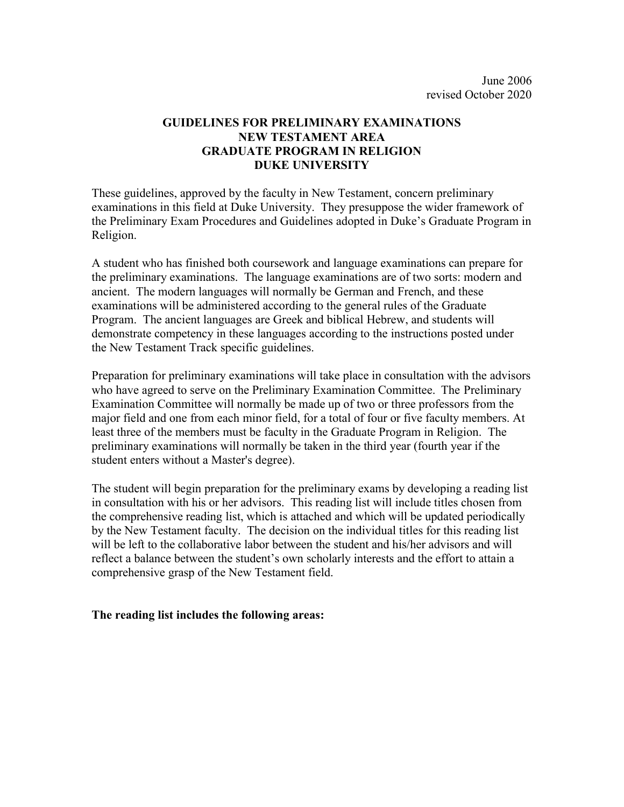## **GUIDELINES FOR PRELIMINARY EXAMINATIONS NEW TESTAMENT AREA GRADUATE PROGRAM IN RELIGION DUKE UNIVERSITY**

These guidelines, approved by the faculty in New Testament, concern preliminary examinations in this field at Duke University. They presuppose the wider framework of the Preliminary Exam Procedures and Guidelines adopted in Duke's Graduate Program in Religion.

A student who has finished both coursework and language examinations can prepare for the preliminary examinations. The language examinations are of two sorts: modern and ancient. The modern languages will normally be German and French, and these examinations will be administered according to the general rules of the Graduate Program. The ancient languages are Greek and biblical Hebrew, and students will demonstrate competency in these languages according to the instructions posted under the New Testament Track specific guidelines.

Preparation for preliminary examinations will take place in consultation with the advisors who have agreed to serve on the Preliminary Examination Committee. The Preliminary Examination Committee will normally be made up of two or three professors from the major field and one from each minor field, for a total of four or five faculty members. At least three of the members must be faculty in the Graduate Program in Religion. The preliminary examinations will normally be taken in the third year (fourth year if the student enters without a Master's degree).

The student will begin preparation for the preliminary exams by developing a reading list in consultation with his or her advisors. This reading list will include titles chosen from the comprehensive reading list, which is attached and which will be updated periodically by the New Testament faculty. The decision on the individual titles for this reading list will be left to the collaborative labor between the student and his/her advisors and will reflect a balance between the student's own scholarly interests and the effort to attain a comprehensive grasp of the New Testament field.

## **The reading list includes the following areas:**